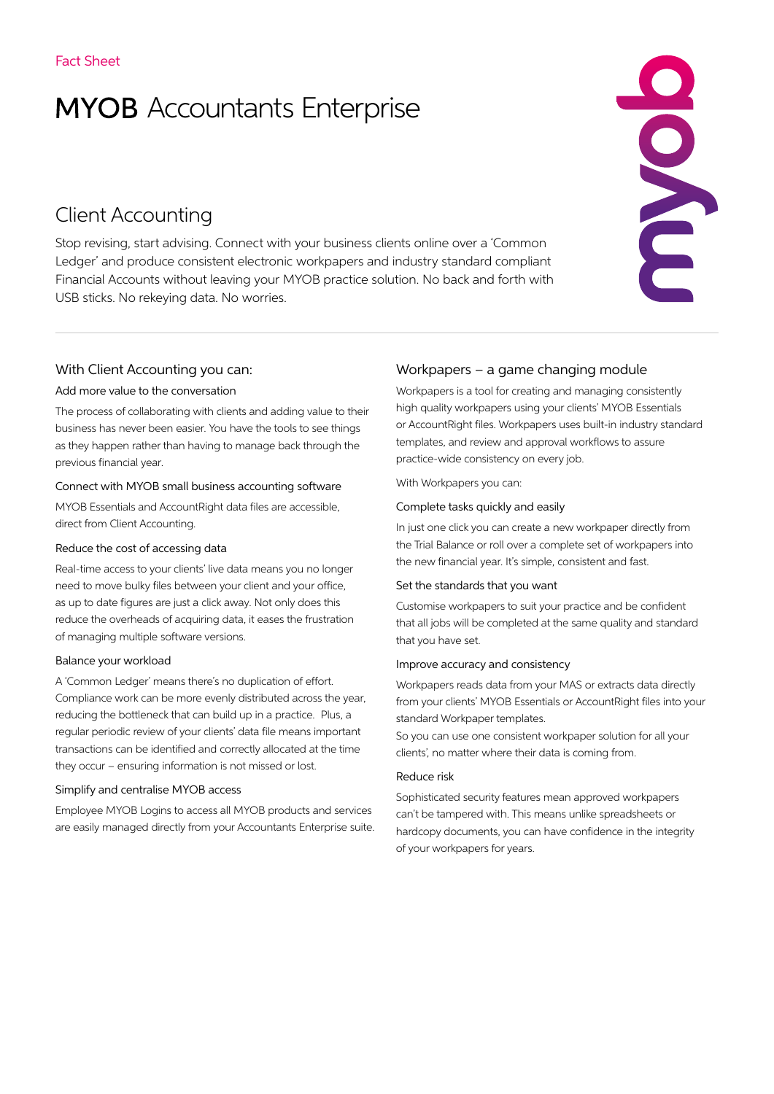# **MYOB** Accountants Enterprise

# Client Accounting

Stop revising, start advising. Connect with your business clients online over a 'Common Ledger' and produce consistent electronic workpapers and industry standard compliant Financial Accounts without leaving your MYOB practice solution. No back and forth with USB sticks. No rekeying data. No worries.

## With Client Accounting you can:

#### Add more value to the conversation

The process of collaborating with clients and adding value to their business has never been easier. You have the tools to see things as they happen rather than having to manage back through the previous financial year.

#### Connect with MYOB small business accounting software

MYOB Essentials and AccountRight data files are accessible, direct from Client Accounting.

#### Reduce the cost of accessing data

Real-time access to your clients' live data means you no longer need to move bulky files between your client and your office, as up to date figures are just a click away. Not only does this reduce the overheads of acquiring data, it eases the frustration of managing multiple software versions.

#### Balance your workload

A 'Common Ledger' means there's no duplication of effort. Compliance work can be more evenly distributed across the year, reducing the bottleneck that can build up in a practice. Plus, a regular periodic review of your clients' data file means important transactions can be identified and correctly allocated at the time they occur – ensuring information is not missed or lost.

#### Simplify and centralise MYOB access

Employee MYOB Logins to access all MYOB products and services are easily managed directly from your Accountants Enterprise suite.

# Workpapers – a game changing module

Workpapers is a tool for creating and managing consistently high quality workpapers using your clients' MYOB Essentials or AccountRight files. Workpapers uses built-in industry standard templates, and review and approval workflows to assure practice-wide consistency on every job.

ECCC

With Workpapers you can:

#### Complete tasks quickly and easily

In just one click you can create a new workpaper directly from the Trial Balance or roll over a complete set of workpapers into the new financial year. It's simple, consistent and fast.

#### Set the standards that you want

Customise workpapers to suit your practice and be confident that all jobs will be completed at the same quality and standard that you have set.

#### Improve accuracy and consistency

Workpapers reads data from your MAS or extracts data directly from your clients' MYOB Essentials or AccountRight files into your standard Workpaper templates.

So you can use one consistent workpaper solution for all your clients', no matter where their data is coming from.

#### Reduce risk

Sophisticated security features mean approved workpapers can't be tampered with. This means unlike spreadsheets or hardcopy documents, you can have confidence in the integrity of your workpapers for years.